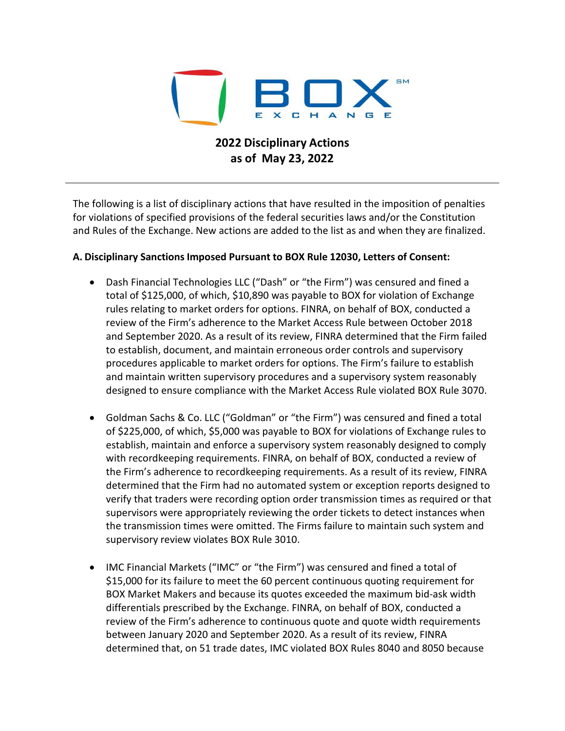

## **2022 Disciplinary Actions as of May 23, 2022**

The following is a list of disciplinary actions that have resulted in the imposition of penalties for violations of specified provisions of the federal securities laws and/or the Constitution and Rules of the Exchange. New actions are added to the list as and when they are finalized.

## **A. Disciplinary Sanctions Imposed Pursuant to BOX Rule 12030, Letters of Consent:**

- Dash Financial Technologies LLC ("Dash" or "the Firm") was censured and fined a total of \$125,000, of which, \$10,890 was payable to BOX for violation of Exchange rules relating to market orders for options. FINRA, on behalf of BOX, conducted a review of the Firm's adherence to the Market Access Rule between October 2018 and September 2020. As a result of its review, FINRA determined that the Firm failed to establish, document, and maintain erroneous order controls and supervisory procedures applicable to market orders for options. The Firm's failure to establish and maintain written supervisory procedures and a supervisory system reasonably designed to ensure compliance with the Market Access Rule violated BOX Rule 3070.
- Goldman Sachs & Co. LLC ("Goldman" or "the Firm") was censured and fined a total of \$225,000, of which, \$5,000 was payable to BOX for violations of Exchange rules to establish, maintain and enforce a supervisory system reasonably designed to comply with recordkeeping requirements. FINRA, on behalf of BOX, conducted a review of the Firm's adherence to recordkeeping requirements. As a result of its review, FINRA determined that the Firm had no automated system or exception reports designed to verify that traders were recording option order transmission times as required or that supervisors were appropriately reviewing the order tickets to detect instances when the transmission times were omitted. The Firms failure to maintain such system and supervisory review violates BOX Rule 3010.
- IMC Financial Markets ("IMC" or "the Firm") was censured and fined a total of \$15,000 for its failure to meet the 60 percent continuous quoting requirement for BOX Market Makers and because its quotes exceeded the maximum bid-ask width differentials prescribed by the Exchange. FINRA, on behalf of BOX, conducted a review of the Firm's adherence to continuous quote and quote width requirements between January 2020 and September 2020. As a result of its review, FINRA determined that, on 51 trade dates, IMC violated BOX Rules 8040 and 8050 because